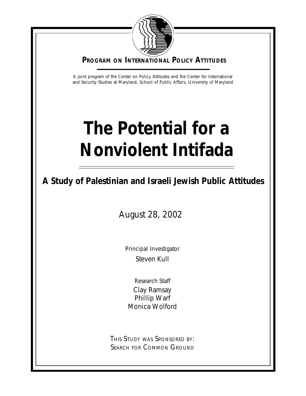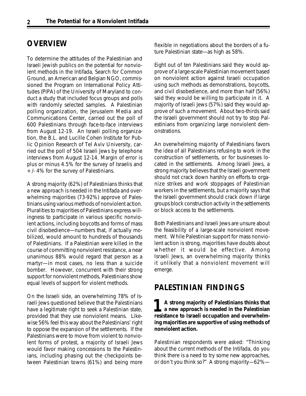# **OVERVIEW**

To determine the attitudes of the Palestinian and Israeli Jewish publics on the potential for nonviolent methods in the Intifada, Search for Common Ground, an American and Belgian NGO, commissioned the Program on International Policy Attitudes (PIPA) of the University of Maryland to conduct a study that included focus groups and polls with randomly selected samples. A Palestinian polling organization, the Jerusalem Media and Communications Center, carried out the poll of 600 Palestinians through face-to-face interviews from August 12-19. An Israeli polling organization, the B.L. and Lucille Cohen Institute for Public Opinion Research of Tel Aviv University, carried out the poll of 504 Israeli Jews by telephone interviews from August 12-14. Margin of error is plus or minus 4.5% for the survey of Israelis and +/- 4% for the survey of Palestinians.

A strong majority (62%) of Palestinians thinks that a new approach is needed in the Intifada and overwhelming majorities (73-92%) approve of Palestinians using various methods of nonviolent action. Pluralities to majorities of Palestinians express willingness to participate in various specific nonviolent actions, including boycotts and forms of mass civil disobedience—numbers that, if actually mobilized, would amount to hundreds of thousands of Palestinians. If a Palestinian were killed in the course of committing nonviolent resistance, a near unanimous 88% would regard that person as a martyr—in most cases, no less than a suicide bomber. However, concurrent with their strong support for nonviolent methods, Palestinians show equal levels of support for violent methods.

On the Israeli side, an overwhelming 78% of Israeli Jews questioned believe that the Palestinians have a legitimate right to seek a Palestinian state, provided that they use nonviolent means. Likewise 56% feel this way about the Palestinians' right to oppose the expansion of the settlements. If the Palestinians were to move from violent to nonviolent forms of protest, a majority of Israeli Jews would favor making concessions to the Palestinians, including phasing out the checkpoints between Palestinian towns (61%) and being more

flexible in negotiations about the borders of a future Palestinian state—as high as 58%.

Eight out of ten Palestinians said they would approve of a large-scale Palestinian movement based on nonviolent action against Israeli occupation using such methods as demonstrations, boycotts, and civil disobedience, and more than half (56%) said they would be willing to participate in it. A majority of Israeli Jews (57%) said they would approve of such a movement. About two-thirds said the Israeli government should not try to stop Palestinians from organizing large nonviolent demonstrations.

An overwhelming majority of Palestinians favors the idea of all Palestinians refusing to work in the construction of settlements, or for businesses located in the settlements. Among Israeli Jews, a strong majority believes that the Israeli government should not crack down harshly on efforts to organize strikes and work stoppages of Palestinian workers in the settlements, but a majority says that the Israeli government should crack down if large groups block construction activity in the settlements or block access to the settlements.

Both Palestinians and Israeli Jews are unsure about the feasibility of a large-scale nonviolent movement. While Palestinian support for mass nonviolent action is strong, majorities have doubts about whether it would be effective. Among Israeli Jews, an overwhelming majority thinks it unlikely that a nonviolent movement will emerge.

## **PALESTINIAN FINDINGS**

**A strong majority of Palestinians thinks that a new approach is needed in the Palestinian A** strong majority of Palestinians thinks that<br>a new approach is needed in the Palestinian<br>resistance to Israeli occupation and overwhelm**ing majorities are supportive of using methods of nonviolent action.**

Palestinian respondents were asked: "Thinking about the current methods of the Intifada, do you think there is a need to try some new approaches, or don't you think so?" A strong majority—62%—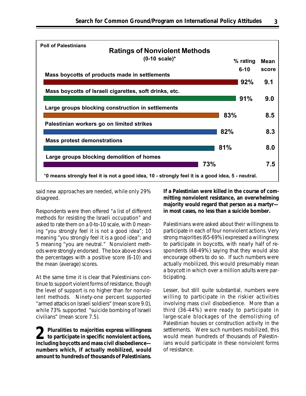

said new approaches are needed, while only 29% disagreed.

Respondents were then offered "a list of different methods for resisting the Israeli occupation" and asked to rate them on a 0-to-10 scale, with 0 meaning "you strongly feel it is not a good idea"; 10 meaning "you strongly feel it is a good idea"; and 5 meaning "you are neutral." Nonviolent methods were strongly endorsed. The box above shows the percentages with a positive score (6-10) and the mean (average) scores.

At the same time it is clear that Palestinians continue to support violent forms of resistance, though the level of support is no higher than for nonviolent methods. Ninety-one percent supported "armed attacks on Israeli soldiers" (mean score 9.0), while 73% supported "suicide bombing of Israeli civilians" (mean score 7.5).

**Pluralities to majorities express willingness to participate in specific nonviolent actions, 2including boycotts and mass civil disobedience numbers which, if actually mobilized, would amount to hundreds of thousands of Palestinians.**

**If a Palestinian were killed in the course of committing nonviolent resistance, an overwhelming majority would regard that person as a martyr in most cases, no less than a suicide bomber.**

Palestinians were asked about their willingness to participate in each of four nonviolent actions. Very strong majorities (65-69%) expressed a willingness to participate in boycotts, with nearly half of respondents (48-49%) saying that they would also encourage others to do so. If such numbers were actually mobilized, this would presumably mean a boycott in which over a million adults were participating.

Lesser, but still quite substantial, numbers were willing to participate in the riskier activities involving mass civil disobedience. More than a third (36-44%) were ready to participate in large-scale blockages of the demolishing of Palestinian houses or construction activity in the settlements. Were such numbers mobilized, this would mean hundreds of thousands of Palestinians would participate in these nonviolent forms of resistance.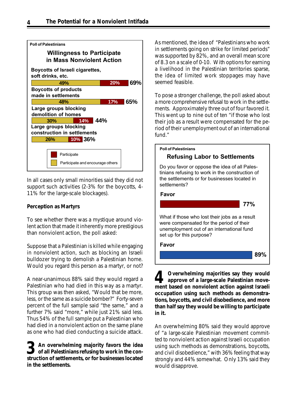

In all cases only small minorities said they did not support such activities (2-3% for the boycotts, 4- 11% for the large-scale blockages).

### **Perception as Martyrs**

To see whether there was a mystique around violent action that made it inherently more prestigious than nonviolent action, the poll asked:

Suppose that a Palestinian is killed while engaging in nonviolent action, such as blocking an Israeli bulldozer trying to demolish a Palestinian home. Would you regard this person as a martyr, or not?

A near-unanimous 88% said they would regard a Palestinian who had died in this way as a martyr. This group was then asked, "Would that be more, less, or the same as a suicide bomber?" Forty-seven percent of the full sample said "the same," and a further 7% said "more," while just 21% said less. Thus 54% of the full sample put a Palestinian who had died in a nonviolent action on the same plane as one who had died conducting a suicide attack.

**3** An overwhelming majority favors the idea of all Palestinians refusing to work in the construction of settlements, or for businesses located **An overwhelming majority favors the idea of all Palestinians refusing to work in the conin the settlements.**

As mentioned, the idea of "Palestinians who work in settlements going on strike for limited periods" was supported by 82%, and an overall mean score of 8.3 on a scale of 0-10. With options for earning a livelihood in the Palestinian territories sparse, the idea of limited work stoppages may have seemed feasible.

To pose a stronger challenge, the poll asked about a more comprehensive refusal to work in the settlements. Approximately three out of four favored it. This went up to nine out of ten "if those who lost their job as a result were compensated for the period of their unemployment out of an international fund."



**Overwhelming majorities say they would approve of a large-scale Palestinian move-4** Overwhelming majorities say they would<br>approve of a large-scale Palestinian move-<br>ment based on nonviolent action against Israeli **occupation using such methods as demonstrations, boycotts, and civil disobedience, and more than half say they would be willing to participate in it.**

An overwhelming 80% said they would approve of "a large-scale Palestinian movement committed to nonviolent action against Israeli occupation using such methods as demonstrations, boycotts, and civil disobedience," with 36% feeling that way strongly and 44% somewhat. Only 13% said they would disapprove.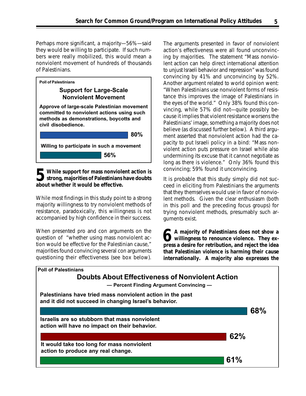Perhaps more significant, a majority—56%—said they would be willing to participate. If such numbers were really mobilized, this would mean a nonviolent movement of hundreds of thousands of Palestinians.



**5** While support for mass nonviolent action is<br>
strong, majorities of Palestinians have doubts **strong, majorities of Palestinians have doubts about whether it would be effective.**

While most findings in this study point to a strong majority willingness to try nonviolent methods of resistance, paradoxically, this willingness is not accompanied by high confidence in their success.

When presented pro and con arguments on the question of "whether using mass nonviolent action would be effective for the Palestinian cause," majorities found convincing several con arguments questioning their effectiveness (see box below).

The arguments presented in favor of nonviolent action's effectiveness were all found unconvincing by majorities. The statement "Mass nonviolent action can help direct international attention to unjust Israeli behavior and repression" was found convincing by 41% and unconvincing by 52%. Another argument related to world opinion went: "When Palestinians use nonviolent forms of resistance this improves the image of Palestinians in the eyes of the world." Only 38% found this convincing, while 57% did not—quite possibly because it implies that violent resistance worsens the Palestinians' image, something a majority does not believe (as discussed further below). A third argument asserted that nonviolent action had the capacity to put Israeli policy in a bind: "Mass nonviolent action puts pressure on Israel while also undermining its excuse that it cannot negotiate as long as there is violence." Only 36% found this convincing; 59% found it unconvincing.

It is probable that this study simply did not succeed in eliciting from Palestinians the arguments that they themselves would use in favor of nonviolent methods. Given the clear enthusiasm (both in this poll and the preceding focus groups) for trying nonviolent methods, presumably such arguments exist.

**A majority of Palestinians does not show a** A majority of Palestinians does not show a<br>willingness to renounce violence. They ex**press a desire for retribution, and reject the idea that Palestinian violence is harming their cause internationally. A majority also expresses the**

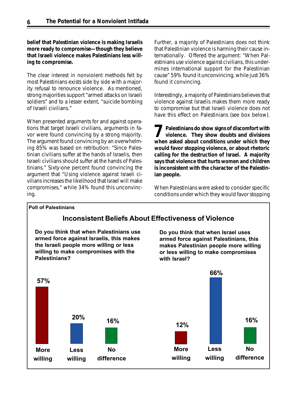**belief that Palestinian violence is making Israelis more ready to compromise—though they believe that Israeli violence makes Palestinians less willing to compromise.**

The clear interest in nonviolent methods felt by most Palestinians exists side by side with a majority refusal to renounce violence. As mentioned, strong majorities support "armed attacks on Israeli soldiers" and to a lesser extent, "suicide bombing of Israeli civilians."

When presented arguments for and against operations that target Israeli civilians, arguments in favor were found convincing by a strong majority. The argument found convincing by an overwhelming 85% was based on retribution: "Since Palestinian civilians suffer at the hands of Israelis, then Israeli civilians should suffer at the hands of Palestinians." Sixty-one percent found convincing the argument that "Using violence against Israeli civilians increases the likelihood that Israel will make compromises," while 34% found this unconvincing.

Further, a majority of Palestinians does not think that Palestinian violence is harming their cause internationally. Offered the argument: "When Palestinians use violence against civilians, this undermines international support for the Palestinian cause" 59% found it unconvincing, while just 36% found it convincing.

Interestingly, a majority of Palestinians believes that violence against Israelis makes them more ready to compromise but that Israeli violence does not have this effect on Palestinians (see box below).

**Palestinians do show signs of discomfort with violence. They show doubts and divisions we Palestinians do show signs of discomfort with violence. They show doubts and divisions when asked about conditions under which they would favor stopping violence, or about rhetoric calling for the destruction of Israel. A majority says that violence that hurts women and children is inconsistent with the character of the Palestinian people.**

When Palestinians were asked to consider specific conditions under which they would favor stopping

### Poll of Palestinians

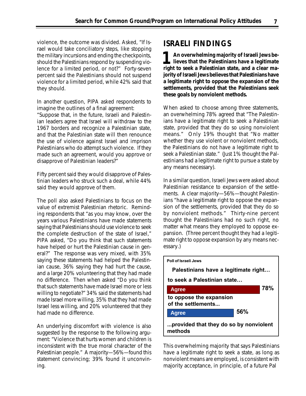violence, the outcome was divided. Asked, "If Israel would take conciliatory steps, like stopping the military incursions and ending the checkpoints, should the Palestinians respond by suspending violence for a limited period, or not?" Forty-seven percent said the Palestinians should not suspend violence for a limited period, while 42% said that they should.

In another question, PIPA asked respondents to imagine the outlines of a final agreement:

"Suppose that, in the future, Israeli and Palestinian leaders agree that Israel will withdraw to the 1967 borders and recognize a Palestinian state, and that the Palestinian state will then renounce the use of violence against Israel and imprison Palestinians who do attempt such violence. If they made such an agreement, would you approve or disapprove of Palestinian leaders?"

Fifty percent said they would disapprove of Palestinian leaders who struck such a deal, while 44% said they would approve of them.

The poll also asked Palestinians to focus on the value of extremist Palestinian rhetoric. Reminding respondents that "as you may know, over the years various Palestinians have made statements saying that Palestinians should use violence to seek the complete destruction of the state of Israel," PIPA asked, "Do you think that such statements have helped or hurt the Palestinian cause in general?" The response was very mixed, with 35% saying these statements had helped the Palestinian cause, 36% saying they had hurt the cause, and a large 20% volunteering that they had made no difference. Then when asked "Do you think that such statements have made Israel more or less willing to negotiate?" 34% said the statements had made Israel more willing, 35% that they had made Israel less willing, and 20% volunteered that they had made no difference.

An underlying discomfort with violence is also suggested by the response to the following argument: "Violence that hurts women and children is inconsistent with the true moral character of the Palestinian people." A majority—56%—found this statement convincing; 39% found it unconvining.

# **ISRAELI FINDINGS**

**An overwhelming majority of Israeli Jews believes that the Palestinians have a legitimate** An overwhelming majority of Israeli Jews be-<br>lieves that the Palestinians have a legitimate<br>right to seek a Palestinian state, and a clear ma**jority of Israeli Jews believes that Palestinians have a legitimate right to oppose the expansion of the settlements, provided that the Palestinians seek these goals by nonviolent methods.**

When asked to choose among three statements, an overwhelming 78% agreed that "The Palestinians have a legitimate right to seek a Palestinian state, provided that they do so using nonviolent means." Only 19% thought that "No matter whether they use violent or nonviolent methods, the Palestinians do not have a legitimate right to seek a Palestinian state." (Just 1% thought the Palestinians had a legitimate right to pursue a state by any means necessary).

In a similar question, Israeli Jews were asked about Palestinian resistance to expansion of the settlements. A clear majority—56%—thought Palestinians "have a legitimate right to oppose the expansion of the settlements, provided that they do so by nonviolent methods." Thirty-nine percent thought the Palestinians had no such right, no matter what means they employed to oppose expansion. (Three percent thought they had a legitimate right to oppose expansion by any means necessary.)



This overwhelming majority that says Palestinians have a legitimate right to seek a state, as long as nonviolent means are employed, is consistent with majority acceptance, in principle, of a future Pal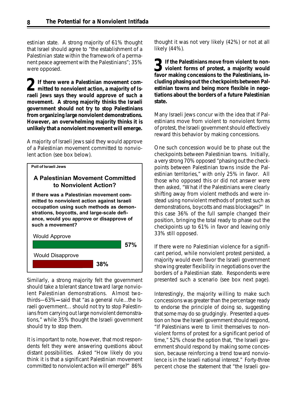estinian state. A strong majority of 61% thought that Israel should agree to "the establishment of a Palestinian state within the framework of a permanent peace agreement with the Palestinians"; 35% were opposed.

**If there were a Palestinian movement committed to nonviolent action, a majority of Israeli Jews says they would approve of such a movement. A strong majority thinks the Israeli government should not try to stop Palestinians from organizing large nonviolent demonstrations. However, an overwhelming majority thinks it is unlikely that a nonviolent movement will emerge. 2**

A majority of Israeli Jews said they would approve of a Palestinian movement committed to nonviolent action (see box below).



## A Palestinian Movement Committed to Nonviolent Action?

If there was a Palestinian movement committed to nonviolent action against Israeli occupation using such methods as demonstrations, boycotts, and large-scale defiance, would you approve or disapprove of such a movement?



Similarly, a strong majority felt the government should take a tolerant stance toward large nonviolent Palestinian demonstrations. Almost twothirds—63%**—**said that "as a general rule…the Israeli government… should not try to stop Palestinians from carrying out large nonviolent demonstrations," while 35% thought the Israeli government should try to stop them.

It is important to note, however, that most respondents felt they were answering questions about distant possibilities. Asked "How likely do you think it is that a significant Palestinian movement committed to nonviolent action will emerge?" 86%

thought it was not very likely (42%) or not at all likely (44%).

**1** If the Palestinians move from violent to non-**3** If the Palestinians move from violent to non-<br>violent forms of protest, a majority would **favor making concessions to the Palestinians, including phasing out the checkpoints between Palestinian towns and being more flexible in negotiations about the borders of a future Palestinian state.**

Many Israeli Jews concur with the idea that if Palestinians move from violent to nonviolent forms of protest, the Israeli government should effectively reward this behavior by making concessions.

One such concession would be to phase out the checkpoints between Palestinian towns. Initially, a very strong 70% opposed "phasing out the checkpoints between Palestinian towns inside the Palestinian territories," with only 25% in favor. All those who opposed this or did not answer were then asked, "What if the Palestinians were clearly shifting away from violent methods and were instead using nonviolent methods of protest such as demonstrations, boycotts and mass blockages?" In this case 36% of the full sample changed their position, bringing the total ready to phase out the checkpoints up to 61% in favor and leaving only 33% still opposed.

If there were no Palestinian violence for a significant period, while nonviolent protest persisted, a majority would even favor the Israeli government showing greater flexibility in negotiations over the borders of a Palestinian state. Respondents were presented such a scenario (see box next page).

Interestingly, the majority willing to make such concessions was greater than the percentage ready to endorse the principle of doing so, suggesting that some may do so grudgingly. Presented a question on how the Israeli government should respond, "If Palestinians were to limit themselves to nonviolent forms of protest for a significant period of time," 52% chose the option that, "the Israeli government should respond by making some concession, because reinforcing a trend toward nonviolence is in the Israeli national interest." Forty-three percent chose the statement that "the Israeli gov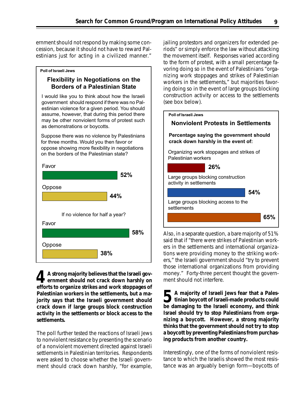ernment should not respond by making some concession, because it should not have to reward Palestinians just for acting in a civilized manner."

# Flexibility in Negotiations on the Borders of a Palestinian State

Poll of Israeli Jews

I would like you to think about how the Israeli government should respond if there was no Palestinian violence for a given period. You should assume, however, that during this period there may be other nonviolent forms of protest such as demonstrations or boycotts.

Suppose there was no violence by Palestinians for three months. Would you then favor or oppose showing more flexibility in negotiations on the borders of the Palestinian state?



**A strong majority believes that the Israeli government should not crack down harshly on** A strong majority believes that the Israeli government should not crack down harshly on efforts to organize strikes and work stoppages of **Palestinian workers in the settlements, but a majority says that the Israeli government should crack down if large groups block construction activity in the settlements or block access to the settlements.**

The poll further tested the reactions of Israeli Jews to nonviolent resistance by presenting the scenario of a nonviolent movement directed against Israeli settlements in Palestinian territories. Respondents were asked to choose whether the Israeli government should crack down harshly, "for example, jailing protestors and organizers for extended periods" or simply enforce the law without attacking the movement itself. Responses varied according to the form of protest, with a small percentage favoring doing so in the event of Palestinians "organizing work stoppages and strikes of Palestinian workers in the settlements," but majorities favoring doing so in the event of large groups blocking construction activity or access to the settlements (see box below).



Also, in a separate question, a bare majority of 51% said that if "there were strikes of Palestinian workers in the settlements and international organizations were providing money to the striking workers," the Israeli government should "try to prevent those international organizations from providing money." Forty-three percent thought the government should not interfere.

**A majority of Israeli Jews fear that a Palestinian boycott of Israeli-made products could b** de majority of Israeli Jews fear that a Palestinian boycott of Israeli-made products could be damaging to the Israeli economy, and think **Israel should try to stop Palestinians from organizing a boycott. However, a strong majority thinks that the government should not try to stop a boycott by preventing Palestinians from purchasing products from another country.**

Interestingly, one of the forms of nonviolent resistance to which the Israelis showed the most resistance was an arguably benign form—boycotts of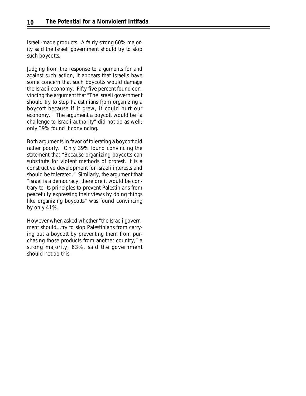Israeli-made products. A fairly strong 60% majority said the Israeli government should try to stop such boycotts.

Judging from the response to arguments for and against such action, it appears that Israelis have some concern that such boycotts would damage the Israeli economy. Fifty-five percent found convincing the argument that "The Israeli government should try to stop Palestinians from organizing a boycott because if it grew, it could hurt our economy." The argument a boycott would be "a challenge to Israeli authority" did not do as well; only 39% found it convincing.

Both arguments in favor of tolerating a boycott did rather poorly. Only 39% found convincing the statement that "Because organizing boycotts can substitute for violent methods of protest, it is a constructive development for Israeli interests and should be tolerated." Similarly, the argument that "Israel is a democracy, therefore it would be contrary to its principles to prevent Palestinians from peacefully expressing their views by doing things like organizing boycotts" was found convincing by only 41%.

However when asked whether "the Israeli government should…try to stop Palestinians from carrying out a boycott by preventing them from purchasing those products from another country," a strong majority, 63%, said the government should *not* do this.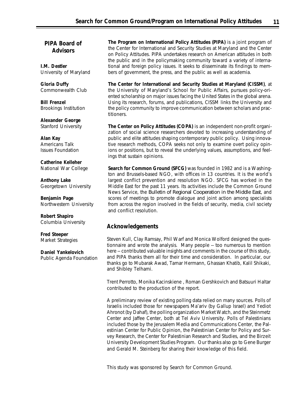### **PIPA Board of Advisors**

**I.M. Destler** University of Maryland

### **Gloria Duffy** Commonwealth Club

**Bill Frenzel** Brookings Institution

**Alexander George** Stanford University

**Alan Kay** Americans Talk Issues Foundation

**Catherine Kelleher** National War College

**Anthony Lake** Georgetown University

**Benjamin Page** Northwestern University

**Robert Shapiro** Columbia University

**Fred Steeper** Market Strategies

**Daniel Yankelovich** Public Agenda Foundation **The Program on International Policy Attitudes (PIPA)** is a joint program of the Center for International and Security Studies at Maryland and the Center on Policy Attitudes. PIPA undertakes research on American attitudes in both the public and in the policymaking community toward a variety of international and foreign policy issues. It seeks to disseminate its findings to members of government, the press, and the public as well as academia.

**The Center for International and Security Studies at Maryland (CISSM)**, at the University of Maryland's School for Public Affairs, pursues policy-oriented scholarship on major issues facing the United States in the global arena. Using its research, forums, and publications, CISSM links the University and the policy community to improve communication between scholars and practitioners.

**The Center on Policy Attitudes (COPA)** is an independent non-profit organization of social science researchers devoted to increasing understanding of public and elite attitudes shaping contemporary public policy. Using innovative research methods, COPA seeks not only to examine overt policy opinions or positions, but to reveal the underlying values, assumptions, and feelings that sustain opinions.

**Search for Common Ground (SFCG)** was founded in 1982 and is a Washington and Brussels-based NGO, with offices in 13 countries. It is the world's largest conflict prevention and resolution NGO. SFCG has worked in the Middle East for the past 11 years. Its activities include the Common Ground News Service, the *Bulletin of Regional Cooperation in the Middle East*, and scores of meetings to promote dialogue and joint action among specialists from across the region involved in the fields of security, media, civil society and conflict resolution.

### **Acknowledgements**

Steven Kull, Clay Ramsay, Phil Warf and Monica Wolford designed the questionnaire and wrote the analysis. Many people -- too numerous to mention here -- contributed valuable insights and comments in the course of this study, and PIPA thanks them all for their time and consideration. In particular, our thanks go to Mubarak Awad, Tamar Hermann, Ghassan Khatib, Kalil Shikaki, and Shibley Telhami.

Trent Perrotto, Monika Kacinskiene , Roman Gershkovich and Batsuuri Haltar contributed to the production of the report.

A preliminary review of existing polling data relied on many sources. Polls of Israelis included those for newspapers Ma'ariv (by Gallup Israel) and Yediot Ahronot (by Dahaf), the polling organization Market Watch, and the Steinmetz Center and Jaffee Center, both at Tel Aviv University. Polls of Palestinians included those by the Jerusalem Media and Communications Center, the Palestinian Center for Public Opinion, the Palestinian Center for Policy and Survey Research, the Center for Palestinian Research and Studies, and the Birzeit University Development Studies Program. Our thanks also go to Gene Burger and Gerald M. Steinberg for sharing their knowledge of this field.

This study was sponsored by Search for Common Ground.